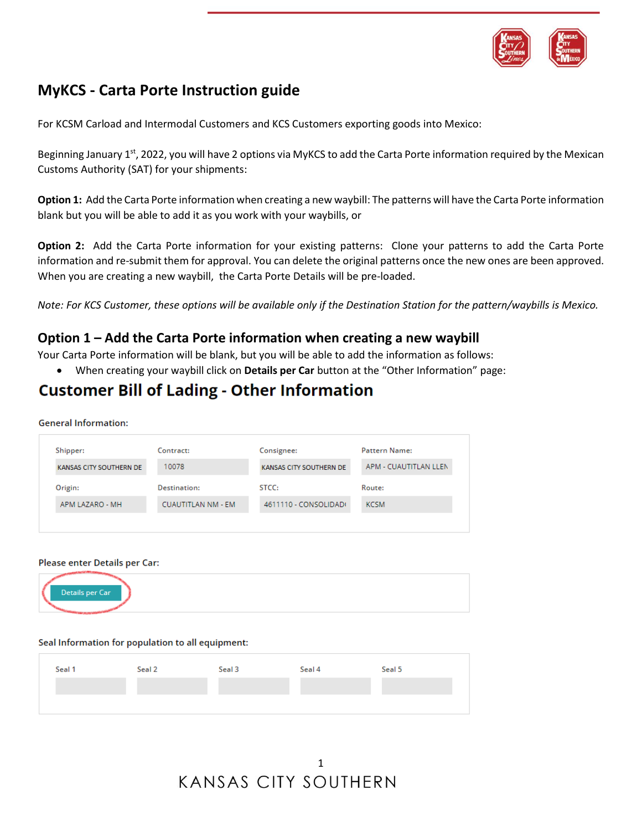

# **MyKCS - Carta Porte Instruction guide**

For KCSM Carload and Intermodal Customers and KCS Customers exporting goods into Mexico:

Beginning January 1<sup>st</sup>, 2022, you will have 2 options via MyKCS to add the Carta Porte information required by the Mexican Customs Authority (SAT) for your shipments:

**Option 1:** Add the Carta Porte information when creating a new waybill: The patterns will have the Carta Porte information blank but you will be able to add it as you work with your waybills, or

**Option 2:** Add the Carta Porte information for your existing patterns: Clone your patterns to add the Carta Porte information and re-submit them for approval. You can delete the original patterns once the new ones are been approved. When you are creating a new waybill, the Carta Porte Details will be pre-loaded.

*Note: For KCS Customer, these options will be available only if the Destination Station for the pattern/waybills is Mexico.* 

## **Option 1 – Add the Carta Porte information when creating a new waybill**

Your Carta Porte information will be blank, but you will be able to add the information as follows:

• When creating your waybill click on **Details per Car** button at the "Other Information" page:

# **Customer Bill of Lading - Other Information**

**General Information:** 

| KANSAS CITY SOUTHERN DE | 10078                     | KANSAS CITY SOUTHERN DE | APM - CUAUTITLAN LLEN |
|-------------------------|---------------------------|-------------------------|-----------------------|
| Origin:                 | Destination:              | STCC:                   | Route:                |
| APM LAZARO - MH         | <b>CUAUTITLAN NM - EM</b> | 4611110 - CONSOLIDADO   | <b>KCSM</b>           |

### Please enter Details per Car:



### Seal Information for population to all equipment:

| Seal 1 | Seal 2 | Seal 3 | Seal 4 | Seal 5 |
|--------|--------|--------|--------|--------|
|        |        |        |        |        |
|        |        |        |        |        |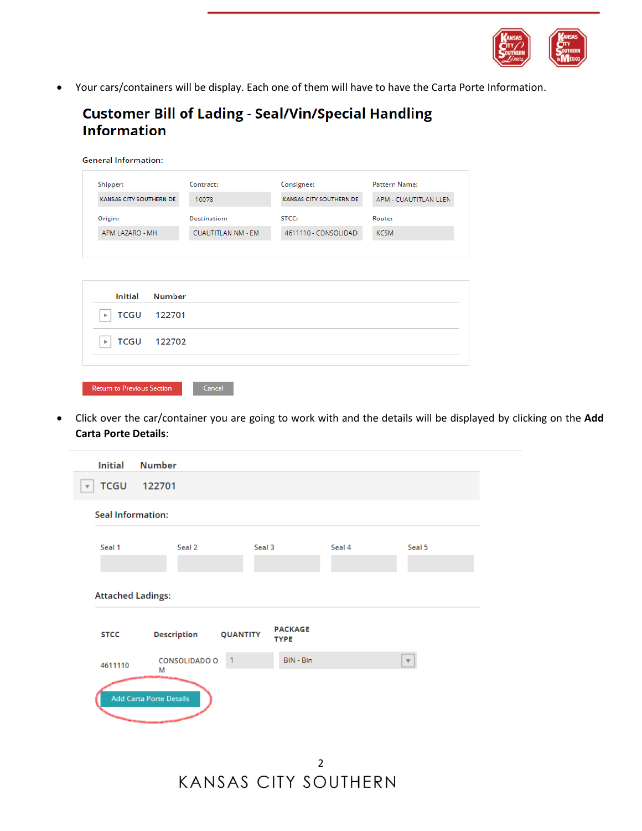

• Your cars/containers will be display. Each one of them will have to have the Carta Porte Information.

# **Customer Bill of Lading - Seal/Vin/Special Handling Information**

| Shipper:                        | Contract:                 | Consignee:              | <b>Pattern Name:</b>  |
|---------------------------------|---------------------------|-------------------------|-----------------------|
| KANSAS CITY SOUTHERN DE         | 10078                     | KANSAS CITY SOUTHERN DE | APM - CUAUTITLAN LLEN |
| Origin:                         | Destination:              | STCC:                   | Route:                |
| APM LAZARO - MH                 | <b>CUAUTITLAN NM - EM</b> | 4611110 - CONSOLIDADI   | <b>KCSM</b>           |
|                                 |                           |                         |                       |
| <b>Number</b><br><b>Initial</b> |                           |                         |                       |
| TCGU<br>122701                  |                           |                         |                       |

Return to Previous Section

 $Cancel$ 

• Click over the car/container you are going to work with and the details will be displayed by clicking on the **Add Carta Porte Details**:

| <b>Initial</b>           | <b>Number</b>             |                 |                               |        |                           |
|--------------------------|---------------------------|-----------------|-------------------------------|--------|---------------------------|
| <b>TCGU</b>              | 122701                    |                 |                               |        |                           |
| <b>Seal Information:</b> |                           |                 |                               |        |                           |
| Seal 1                   | Seal 2                    | Seal 3          |                               | Seal 4 | Seal 5                    |
| <b>Attached Ladings:</b> |                           |                 |                               |        |                           |
| <b>STCC</b>              | <b>Description</b>        | <b>QUANTITY</b> | <b>PACKAGE</b><br><b>TYPE</b> |        |                           |
| 4611110                  | <b>CONSOLIDADO O</b><br>Μ | $\overline{1}$  | BIN - Bin                     |        | $\boldsymbol{\mathrm{v}}$ |
|                          | Add Carta Porte Details   |                 |                               |        |                           |

2 **KANSAS CITY SOUTHERN**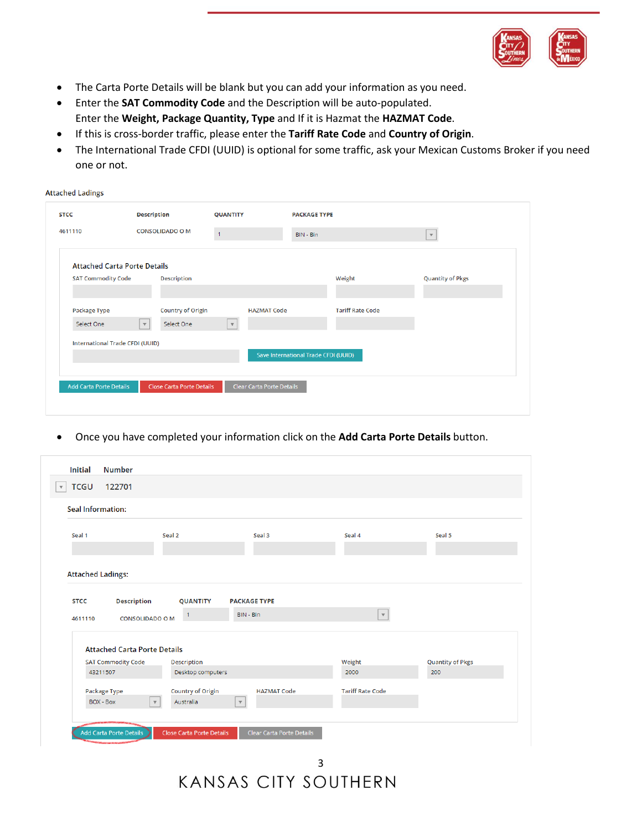

- The Carta Porte Details will be blank but you can add your information as you need.
- Enter the **SAT Commodity Code** and the Description will be auto-populated. Enter the **Weight, Package Quantity, Type** and If it is Hazmat the **HAZMAT Code**.

**Attached Ladings** 

- If this is cross-border traffic, please enter the **Tariff Rate Code** and **Country of Origin**.
- The International Trade CFDI (UUID) is optional for some traffic, ask your Mexican Customs Broker if you need one or not.

| 4611110                             |              | <b>CONSOLIDADO O M</b>    | $\mathbf{1}$ |                           | BIN - Bin                            |                         | $\mathbf{v}$            |
|-------------------------------------|--------------|---------------------------|--------------|---------------------------|--------------------------------------|-------------------------|-------------------------|
| <b>Attached Carta Porte Details</b> |              |                           |              |                           |                                      |                         |                         |
| <b>SAT Commodity Code</b>           |              | Description               |              |                           |                                      | Weight                  | <b>Quantity of Pkgs</b> |
| Package Type                        |              | <b>Country of Origin</b>  |              | <b>HAZMAT Code</b>        |                                      | <b>Tariff Rate Code</b> |                         |
| Select One                          | $\mathbf{v}$ | Select One                | $\mathbf{v}$ |                           |                                      |                         |                         |
| International Trade CFDI (UUID)     |              |                           |              |                           |                                      |                         |                         |
|                                     |              |                           |              |                           | Save International Trade CFDI (UUID) |                         |                         |
| Add Carta Porte Details             |              | Close Carta Porte Details |              | Clear Carta Porte Details |                                      |                         |                         |

• Once you have completed your information click on the **Add Carta Porte Details** button.

| <b>TCGU</b><br>122701                                         |                           |                     |                         |                         |
|---------------------------------------------------------------|---------------------------|---------------------|-------------------------|-------------------------|
| <b>Seal Information:</b>                                      |                           |                     |                         |                         |
| Seal 1                                                        | Seal 2                    | Seal 3              | Seal 4                  | Seal 5                  |
|                                                               |                           |                     |                         |                         |
| <b>Attached Ladings:</b><br><b>Description</b><br><b>STCC</b> | <b>QUANTITY</b>           | <b>PACKAGE TYPE</b> |                         |                         |
| <b>CONSOLIDADO O M</b><br>4611110                             | 1                         | BIN - Bin           | $\mathbf{v}$            |                         |
| <b>Attached Carta Porte Details</b>                           |                           |                     |                         |                         |
| <b>SAT Commodity Code</b>                                     | <b>Description</b>        |                     | Weight                  | <b>Quantity of Pkgs</b> |
| 43211507                                                      | Desktop computers         |                     | 2000                    | 200                     |
| Package Type                                                  | <b>Country of Origin</b>  | <b>HAZMAT Code</b>  | <b>Tariff Rate Code</b> |                         |
| $BOX - Box$<br>$\boldsymbol{\mathrm{v}}$                      | Australia<br>$\mathbf{v}$ |                     |                         |                         |
|                                                               |                           |                     |                         |                         |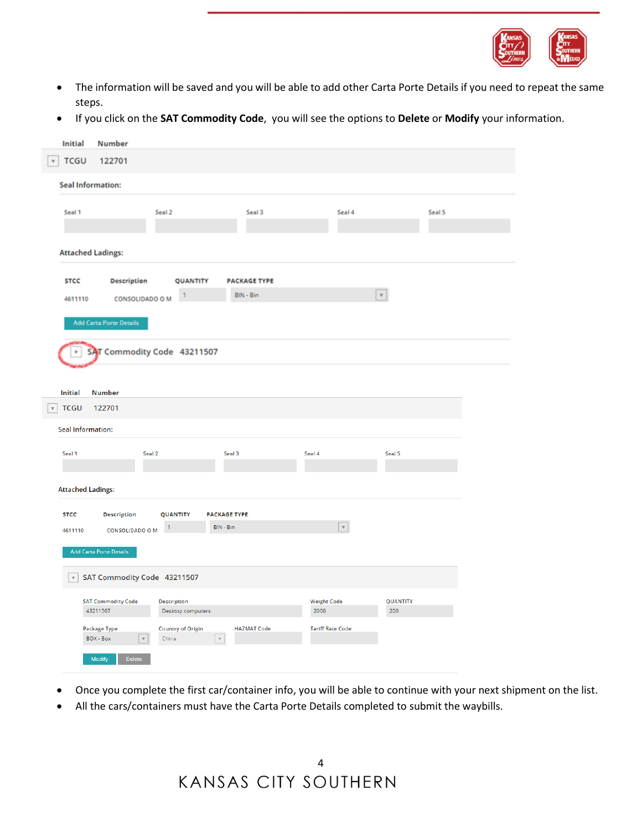

- The information will be saved and you will be able to add other Carta Porte Details if you need to repeat the same steps.
- If you click on the **SAT Commodity Code**, you will see the options to **Delete** or **Modify** your information.

|                         | <b>Initial</b>            | <b>Number</b>                                       |             |                                                       |                     |                           |                           |        |  |
|-------------------------|---------------------------|-----------------------------------------------------|-------------|-------------------------------------------------------|---------------------|---------------------------|---------------------------|--------|--|
| $\overline{\tau}$       | <b>TCGU</b>               | 122701                                              |             |                                                       |                     |                           |                           |        |  |
|                         | Seal Information:         |                                                     |             |                                                       |                     |                           |                           |        |  |
|                         | Seal 1                    |                                                     | Seal 2      |                                                       | Seal 3              | Seal 4                    |                           | Seal 5 |  |
|                         |                           |                                                     |             |                                                       |                     |                           |                           |        |  |
|                         |                           | <b>Attached Ladings:</b>                            |             |                                                       |                     |                           |                           |        |  |
|                         | <b>STCC</b>               | Description                                         |             | QUANTITY                                              | <b>PACKAGE TYPE</b> |                           |                           |        |  |
|                         | 4611110                   | <b>CONSOLIDADO O M</b>                              |             |                                                       | BIN - Bin           |                           | $\boldsymbol{\mathrm{v}}$ |        |  |
|                         |                           | <b>Add Carta Porte Details</b>                      |             |                                                       |                     |                           |                           |        |  |
|                         |                           | SAT Commodity Code 43211507                         |             |                                                       |                     |                           |                           |        |  |
|                         |                           |                                                     |             |                                                       |                     |                           |                           |        |  |
|                         | <b>Initial</b>            | <b>Number</b>                                       |             |                                                       |                     |                           |                           |        |  |
| $\overline{\mathbf{v}}$ | <b>TCGU</b>               | 122701                                              |             |                                                       |                     |                           |                           |        |  |
|                         | <b>Seal Information:</b>  |                                                     |             |                                                       |                     |                           |                           |        |  |
|                         | Seal 1                    | Seal 2                                              |             |                                                       | Seal 3              | Seal 4                    | Seal 5                    |        |  |
|                         |                           |                                                     |             |                                                       |                     |                           |                           |        |  |
|                         | <b>Attached Ladings:</b>  |                                                     |             |                                                       |                     |                           |                           |        |  |
|                         | <b>STCC</b>               | <b>Description</b>                                  | QUANTITY    |                                                       | <b>PACKAGE TYPE</b> |                           |                           |        |  |
|                         | 4611110                   | <b>CONSOLIDADO O M</b>                              | $\vert$     | BIN - Bin                                             |                     | $\boldsymbol{\mathrm{v}}$ |                           |        |  |
|                         |                           | Add Carta Porte Details                             |             |                                                       |                     |                           |                           |        |  |
|                         | $\boldsymbol{\mathrm{v}}$ | SAT Commodity Code 43211507                         |             |                                                       |                     |                           |                           |        |  |
|                         |                           | <b>SAT Commodity Code</b>                           | Description |                                                       |                     | <b>Weight Code</b>        | <b>QUANTITY</b>           |        |  |
|                         |                           | 43211507                                            |             | Desktop computers                                     |                     | 2000                      | 200                       |        |  |
|                         |                           | Package Type<br>BOX - Box<br>$\overline{\mathbf v}$ | China       | <b>Country of Origin</b><br>$\boldsymbol{\mathrm{v}}$ | <b>HAZMAT Code</b>  | <b>Tariff Rate Code</b>   |                           |        |  |
|                         |                           | Delete<br>Modify                                    |             |                                                       |                     |                           |                           |        |  |
|                         |                           |                                                     |             |                                                       |                     |                           |                           |        |  |

- Once you complete the first car/container info, you will be able to continue with your next shipment on the list.
- All the cars/containers must have the Carta Porte Details completed to submit the waybills.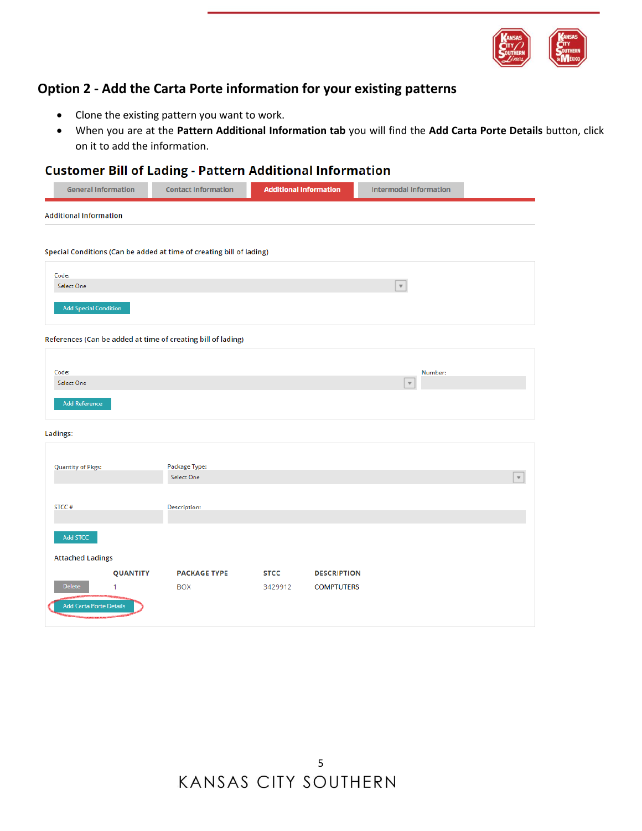

## **Option 2 - Add the Carta Porte information for your existing patterns**

- Clone the existing pattern you want to work.
- When you are at the **Pattern Additional Information tab** you will find the **Add Carta Porte Details** button, click on it to add the information.

### **Customer Bill of Lading - Pattern Additional Information**

| <b>General Information</b>                                           | <b>Contact Information</b>        | <b>Additional Information</b> |                                         | <b>Intermodal Information</b> |                           |
|----------------------------------------------------------------------|-----------------------------------|-------------------------------|-----------------------------------------|-------------------------------|---------------------------|
| <b>Additional Information</b>                                        |                                   |                               |                                         |                               |                           |
|                                                                      |                                   |                               |                                         |                               |                           |
| Special Conditions (Can be added at time of creating bill of lading) |                                   |                               |                                         |                               |                           |
| Code:                                                                |                                   |                               |                                         |                               |                           |
| Select One                                                           |                                   |                               |                                         | $\boldsymbol{\mathrm{v}}$     |                           |
| <b>Add Special Condition</b>                                         |                                   |                               |                                         |                               |                           |
| References (Can be added at time of creating bill of lading)         |                                   |                               |                                         |                               |                           |
| Code:                                                                |                                   |                               |                                         | Number:                       |                           |
| Select One                                                           |                                   |                               |                                         | $\mathbf v$                   |                           |
| <b>Add Reference</b>                                                 |                                   |                               |                                         |                               |                           |
| Ladings:                                                             |                                   |                               |                                         |                               |                           |
|                                                                      |                                   |                               |                                         |                               |                           |
| <b>Quantity of Pkgs:</b>                                             | Package Type:<br>Select One       |                               |                                         |                               | $\boldsymbol{\mathrm{v}}$ |
|                                                                      |                                   |                               |                                         |                               |                           |
| STCC#                                                                | Description:                      |                               |                                         |                               |                           |
|                                                                      |                                   |                               |                                         |                               |                           |
| Add STCC                                                             |                                   |                               |                                         |                               |                           |
| <b>Attached Ladings</b>                                              |                                   |                               |                                         |                               |                           |
| <b>QUANTITY</b><br>Delete<br>1                                       | <b>PACKAGE TYPE</b><br><b>BOX</b> | <b>STCC</b><br>3429912        | <b>DESCRIPTION</b><br><b>COMPTUTERS</b> |                               |                           |
|                                                                      |                                   |                               |                                         |                               |                           |
| <b>Add Carta Porte Details</b>                                       |                                   |                               |                                         |                               |                           |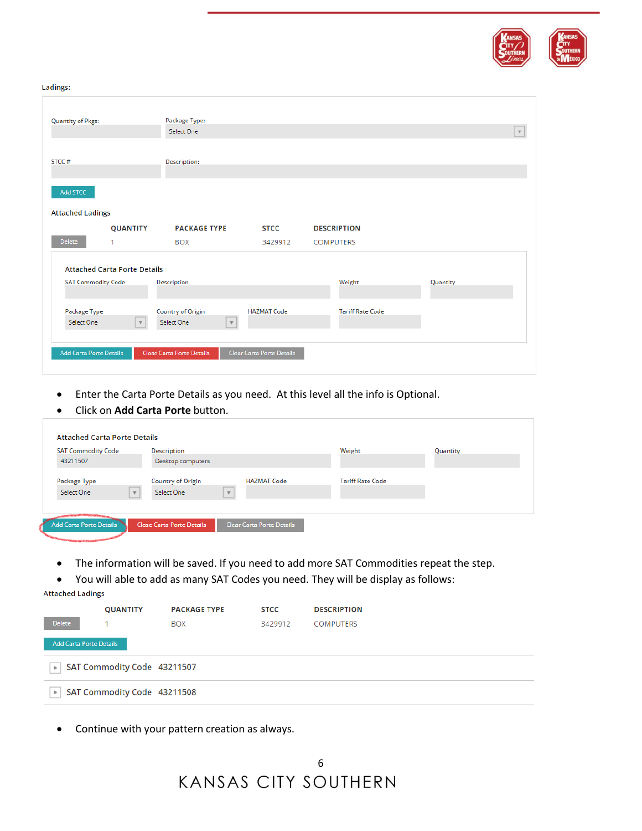

#### Ladings:

| <b>Quantity of Pkgs:</b>       |                                     | Package Type:              |                           |                         |          |                           |
|--------------------------------|-------------------------------------|----------------------------|---------------------------|-------------------------|----------|---------------------------|
|                                |                                     | Select One                 |                           |                         |          | $\boldsymbol{\mathrm{v}}$ |
|                                |                                     |                            |                           |                         |          |                           |
| STCC#                          |                                     | Description:               |                           |                         |          |                           |
|                                |                                     |                            |                           |                         |          |                           |
| Add STCC                       |                                     |                            |                           |                         |          |                           |
|                                |                                     |                            |                           |                         |          |                           |
| <b>Attached Ladings</b>        |                                     |                            |                           |                         |          |                           |
|                                | <b>QUANTITY</b>                     | <b>PACKAGE TYPE</b>        | <b>STCC</b>               | <b>DESCRIPTION</b>      |          |                           |
| <b>Delete</b>                  |                                     |                            |                           |                         |          |                           |
|                                | 1                                   | <b>BOX</b>                 | 3429912                   | <b>COMPUTERS</b>        |          |                           |
|                                |                                     |                            |                           |                         |          |                           |
|                                | <b>Attached Carta Porte Details</b> |                            |                           |                         |          |                           |
| <b>SAT Commodity Code</b>      |                                     | Description                |                           | Weight                  | Quantity |                           |
|                                |                                     |                            |                           |                         |          |                           |
|                                |                                     |                            |                           |                         |          |                           |
| Package Type                   |                                     | <b>Country of Origin</b>   | <b>HAZMAT Code</b>        | <b>Tariff Rate Code</b> |          |                           |
| Select One                     | $\mathbf{v}$                        | Select One<br>$\mathbb{F}$ |                           |                         |          |                           |
|                                |                                     |                            |                           |                         |          |                           |
| <b>Add Carta Porte Details</b> |                                     | Close Carta Porte Details  | Clear Carta Porte Details |                         |          |                           |

- Enter the Carta Porte Details as you need. At this level all the info is Optional.
- Click on **Add Carta Porte** button.

| <b>SAT Commodity Code</b> | Description       |                         |                    | Weight                  | Quantity |
|---------------------------|-------------------|-------------------------|--------------------|-------------------------|----------|
| 43211507                  | Desktop computers |                         |                    |                         |          |
| Package Type              | Country of Origin |                         | <b>HAZMAT Code</b> | <b>Tariff Rate Code</b> |          |
| Select One                | Select One        | $\overline{\mathbf{v}}$ |                    |                         |          |
|                           |                   |                         |                    |                         |          |

- The information will be saved. If you need to add more SAT Commodities repeat the step.
- You will able to add as many SAT Codes you need. They will be display as follows:

```
Attached Ladings
```

|                                | <b>QUANTITY</b>             | <b>PACKAGE TYPE</b> | <b>STCC</b> | <b>DESCRIPTION</b> |
|--------------------------------|-----------------------------|---------------------|-------------|--------------------|
| Delete                         |                             | <b>BOX</b>          | 3429912     | <b>COMPUTERS</b>   |
| <b>Add Carta Porte Details</b> |                             |                     |             |                    |
| $\mathbb{F}$                   | SAT Commodity Code 43211507 |                     |             |                    |
| $\mathbb{F}$                   | SAT Commodity Code 43211508 |                     |             |                    |

• Continue with your pattern creation as always.